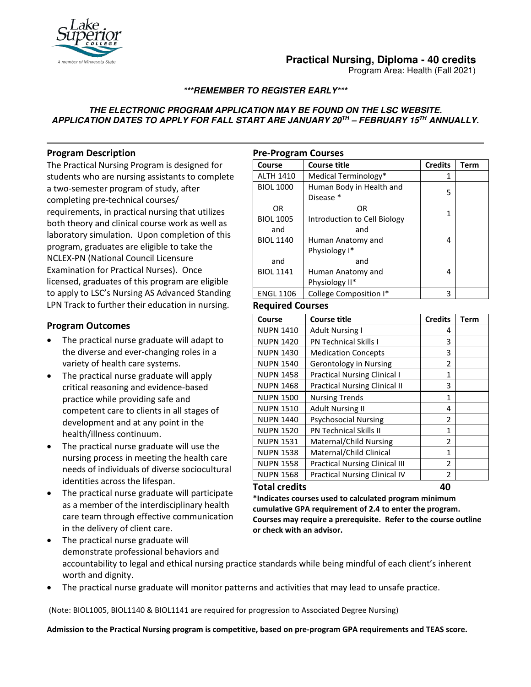

# **Practical Nursing, Diploma - 40 credits**

Program Area: Health (Fall 2021)

## **\*\*\*REMEMBER TO REGISTER EARLY\*\*\***

## **THE ELECTRONIC PROGRAM APPLICATION MAY BE FOUND ON THE LSC WEBSITE. APPLICATION DATES TO APPLY FOR FALL START ARE JANUARY 20TH – FEBRUARY 15TH ANNUALLY.**

# **Program Description**

The Practical Nursing Program is designed for students who are nursing assistants to complete a two-semester program of study, after completing pre-technical courses/ requirements, in practical nursing that utilizes both theory and clinical course work as well as laboratory simulation. Upon completion of this program, graduates are eligible to take the NCLEX-PN (National Council Licensure Examination for Practical Nurses). Once licensed, graduates of this program are eligible to apply to LSC's Nursing AS Advanced Standing LPN Track to further their education in nursing.

## **Program Outcomes**

- The practical nurse graduate will adapt to the diverse and ever-changing roles in a variety of health care systems.
- The practical nurse graduate will apply critical reasoning and evidence-based practice while providing safe and competent care to clients in all stages of development and at any point in the health/illness continuum.
- The practical nurse graduate will use the nursing process in meeting the health care needs of individuals of diverse sociocultural identities across the lifespan.
- The practical nurse graduate will participate as a member of the interdisciplinary health care team through effective communication in the delivery of client care.

| <b>Pre-Program Courses</b> |                                            |                |             |  |  |
|----------------------------|--------------------------------------------|----------------|-------------|--|--|
| Course                     | <b>Course title</b>                        | <b>Credits</b> | <b>Term</b> |  |  |
| <b>ALTH 1410</b>           | Medical Terminology*                       | 1              |             |  |  |
| <b>BIOL 1000</b>           | Human Body in Health and<br>Disease *      | 5              |             |  |  |
| OR<br><b>BIOL 1005</b>     | OR<br>Introduction to Cell Biology         | 1              |             |  |  |
| and<br><b>BIOL 1140</b>    | and<br>Human Anatomy and<br>Physiology I*  | 4              |             |  |  |
| and<br><b>BIOL 1141</b>    | and<br>Human Anatomy and<br>Physiology II* | 4              |             |  |  |
| <b>ENGL 1106</b>           | College Composition I*                     | 3              |             |  |  |

### **Required Courses**

| Course           | <b>Course title</b>                   | <b>Credits</b> | Term |
|------------------|---------------------------------------|----------------|------|
| <b>NUPN 1410</b> | <b>Adult Nursing I</b>                | 4              |      |
| <b>NUPN 1420</b> | <b>PN Technical Skills I</b>          | 3              |      |
| <b>NUPN 1430</b> | <b>Medication Concepts</b>            | 3              |      |
| <b>NUPN 1540</b> | Gerontology in Nursing                | 2              |      |
| <b>NUPN 1458</b> | <b>Practical Nursing Clinical I</b>   | 1              |      |
| <b>NUPN 1468</b> | <b>Practical Nursing Clinical II</b>  | 3              |      |
| <b>NUPN 1500</b> | <b>Nursing Trends</b>                 | 1              |      |
| <b>NUPN 1510</b> | <b>Adult Nursing II</b>               | 4              |      |
| <b>NUPN 1440</b> | <b>Psychosocial Nursing</b>           | 2              |      |
| <b>NUPN 1520</b> | <b>PN Technical Skills II</b>         | 1              |      |
| <b>NUPN 1531</b> | Maternal/Child Nursing                | $\mathfrak z$  |      |
| <b>NUPN 1538</b> | Maternal/Child Clinical               | 1              |      |
| <b>NUPN 1558</b> | <b>Practical Nursing Clinical III</b> | $\mathfrak z$  |      |
| <b>NUPN 1568</b> | <b>Practical Nursing Clinical IV</b>  | 2              |      |
| Total credits    |                                       | 40             |      |

**\*Indicates courses used to calculated program minimum cumulative GPA requirement of 2.4 to enter the program. Courses may require a prerequisite. Refer to the course outline or check with an advisor.**

- The practical nurse graduate will demonstrate professional behaviors and accountability to legal and ethical nursing practice standards while being mindful of each client's inherent worth and dignity.
- The practical nurse graduate will monitor patterns and activities that may lead to unsafe practice.

(Note: BIOL1005, BIOL1140 & BIOL1141 are required for progression to Associated Degree Nursing)

**Admission to the Practical Nursing program is competitive, based on pre-program GPA requirements and TEAS score.**